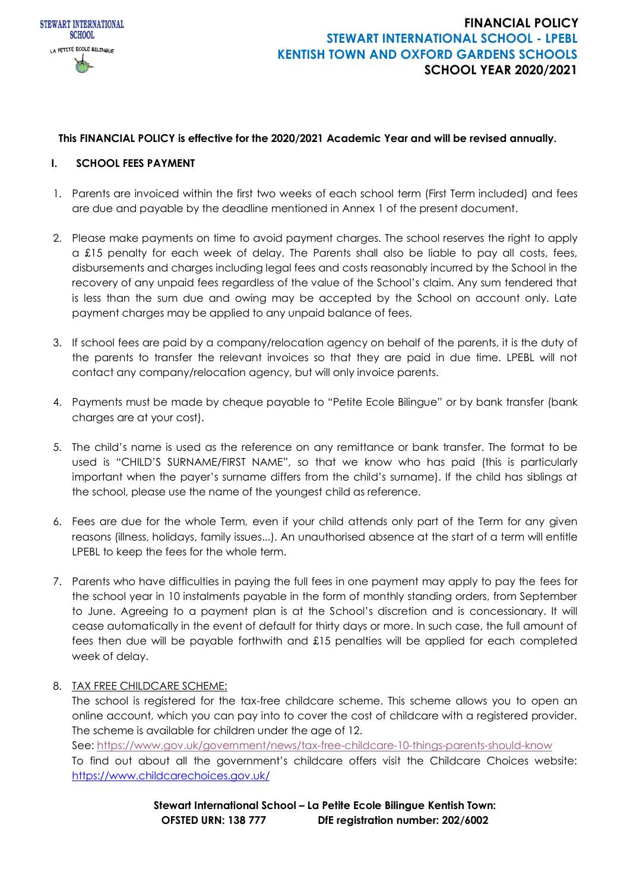

### **This FINANCIAL POLICY is effective for the 2020/2021 Academic Year and will be revised annually.**

#### **I. SCHOOL FEES PAYMENT**

- 1. Parents are invoiced within the first two weeks of each school term (First Term included) and fees are due and payable by the deadline mentioned in Annex 1 of the present document.
- 2. Please make payments on time to avoid payment charges. The school reserves the right to apply a £15 penalty for each week of delay. The Parents shall also be liable to pay all costs, fees, disbursements and charges including legal fees and costs reasonably incurred by the School in the recovery of any unpaid fees regardless of the value of the School's claim. Any sum tendered that is less than the sum due and owing may be accepted by the School on account only. Late payment charges may be applied to any unpaid balance of fees.
- 3. If school fees are paid by a company/relocation agency on behalf of the parents, it is the duty of the parents to transfer the relevant invoices so that they are paid in due time. LPEBL will not contact any company/relocation agency, but will only invoice parents.
- 4. Payments must be made by cheque payable to "Petite Ecole Bilingue" or by bank transfer (bank charges are at your cost).
- 5. The child's name is used as the reference on any remittance or bank transfer. The format to be used is "CHILD'S SURNAME/FIRST NAME", so that we know who has paid (this is particularly important when the payer's surname differs from the child's surname). If the child has siblings at the school, please use the name of the youngest child as reference.
- 6. Fees are due for the whole Term, even if your child attends only part of the Term for any given reasons (illness, holidays, family issues...). An unauthorised absence at the start of a term will entitle LPEBL to keep the fees for the whole term.
- 7. Parents who have difficulties in paying the full fees in one payment may apply to pay the fees for the school year in 10 instalments payable in the form of monthly standing orders, from September to June. Agreeing to a payment plan is at the School's discretion and is concessionary. It will cease automatically in the event of default for thirty days or more. In such case, the full amount of fees then due will be payable forthwith and £15 penalties will be applied for each completed week of delay.
- 8. TAX FREE CHILDCARE SCHEME:

The school is registered for the tax-free childcare scheme. This scheme allows you to open an online account, which you can pay into to cover the cost of childcare with a registered provider. The scheme is available for children under the age of 12. See:<https://www.gov.uk/government/news/tax-free-childcare-10-things-parents-should-know> To find out about all the government's childcare offers visit the Childcare Choices website: <https://www.childcarechoices.gov.uk/>

> **Stewart International School – La Petite Ecole Bilingue Kentish Town: OFSTED URN: 138 777 DfE registration number: 202/6002**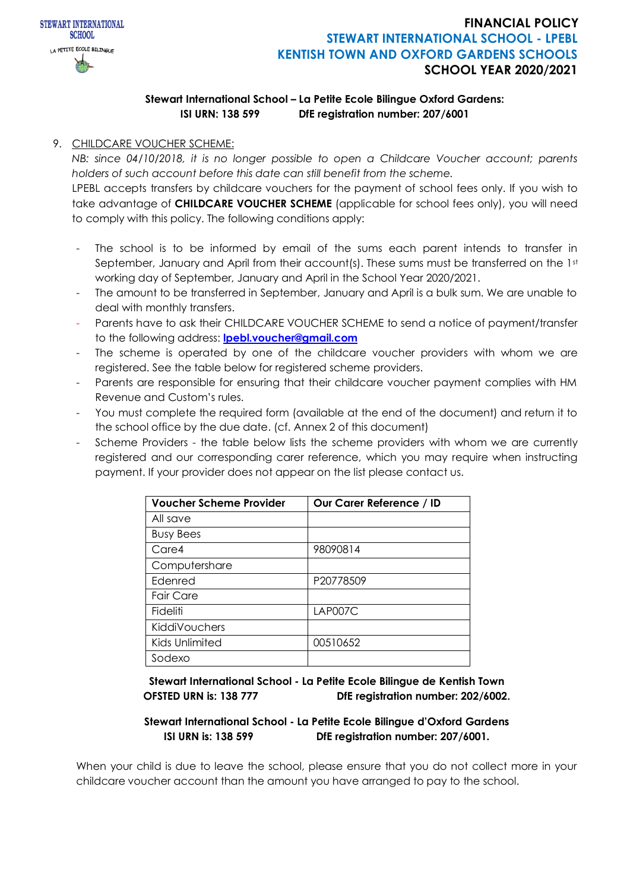

## **Stewart International School – La Petite Ecole Bilingue Oxford Gardens: ISI URN: 138 599 DfE registration number: 207/6001**

## 9. CHILDCARE VOUCHER SCHEME:

*NB: since 04/10/2018, it is no longer possible to open a Childcare Voucher account; parents holders of such account before this date can still benefit from the scheme.*

LPEBL accepts transfers by childcare vouchers for the payment of school fees only. If you wish to take advantage of **CHILDCARE VOUCHER SCHEME** (applicable for school fees only), you will need to comply with this policy. The following conditions apply:

- The school is to be informed by email of the sums each parent intends to transfer in September, January and April from their account(s). These sums must be transferred on the 1st working day of September, January and April in the School Year 2020/2021.
- The amount to be transferred in September, January and April is a bulk sum. We are unable to deal with monthly transfers.
- Parents have to ask their CHILDCARE VOUCHER SCHEME to send a notice of payment/transfer to the following address: **[lpebl.voucher@gmail.com](mailto:lpebl.voucher@gmail.com)**
- The scheme is operated by one of the childcare voucher providers with whom we are registered. See the table below for registered scheme providers.
- Parents are responsible for ensuring that their childcare voucher payment complies with HM Revenue and Custom's rules.
- You must complete the required form (available at the end of the document) and return it to the school office by the due date. (cf. Annex 2 of this document)
- Scheme Providers the table below lists the scheme providers with whom we are currently registered and our corresponding carer reference, which you may require when instructing payment. If your provider does not appear on the list please contact us.

| <b>Voucher Scheme Provider</b> | Our Carer Reference / ID |
|--------------------------------|--------------------------|
| All save                       |                          |
| <b>Busy Bees</b>               |                          |
| Care4                          | 98090814                 |
| Computershare                  |                          |
| Edenred                        | P20778509                |
| <b>Fair Care</b>               |                          |
| Fideliti                       | LAP007C                  |
| KiddiVouchers                  |                          |
| Kids Unlimited                 | 00510652                 |
| Sodexo                         |                          |

**Stewart International School - La Petite Ecole Bilingue de Kentish Town OFSTED URN is: 138 777 DfE registration number: 202/6002.**

### **Stewart International School - La Petite Ecole Bilingue d'Oxford Gardens ISI URN is: 138 599 DfE registration number: 207/6001***.*

When your child is due to leave the school, please ensure that you do not collect more in your childcare voucher account than the amount you have arranged to pay to the school.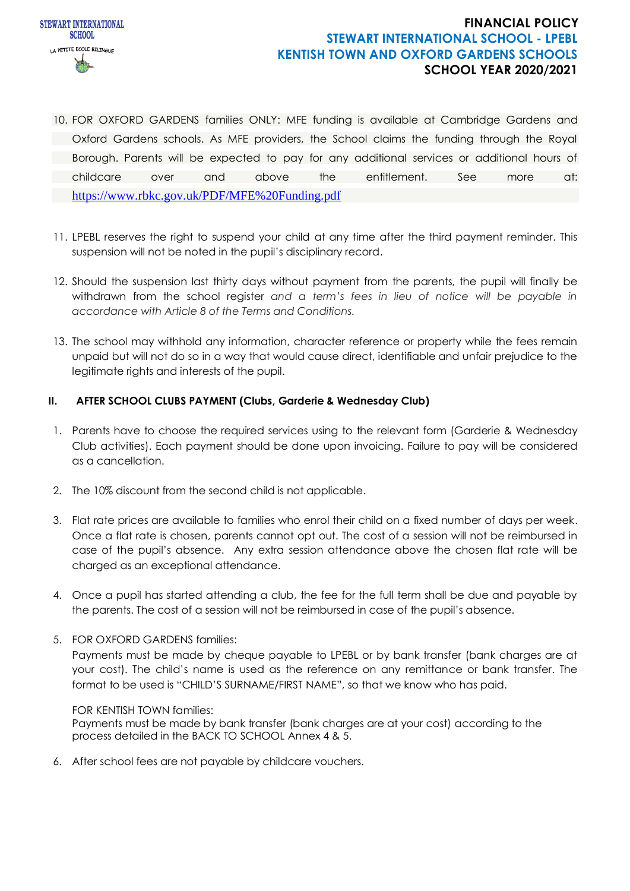

- 10. FOR OXFORD GARDENS families ONLY: MFE funding is available at Cambridge Gardens and Oxford Gardens schools. As MFE providers, the School claims the funding through the Royal Borough. Parents will be expected to pay for any additional services or additional hours of childcare over and above the entitlement. See more at: <https://www.rbkc.gov.uk/PDF/MFE%20Funding.pdf>
- 11. LPEBL reserves the right to suspend your child at any time after the third payment reminder. This suspension will not be noted in the pupil's disciplinary record.
- 12. Should the suspension last thirty days without payment from the parents, the pupil will finally be withdrawn from the school register *and a term's fees in lieu of notice will be payable in accordance with Article 8 of the Terms and Conditions.*
- 13. The school may withhold any information, character reference or property while the fees remain unpaid but will not do so in a way that would cause direct, identifiable and unfair prejudice to the legitimate rights and interests of the pupil.

### **II. AFTER SCHOOL CLUBS PAYMENT (Clubs, Garderie & Wednesday Club)**

- 1. Parents have to choose the required services using to the relevant form (Garderie & Wednesday Club activities). Each payment should be done upon invoicing. Failure to pay will be considered as a cancellation.
- 2. The 10% discount from the second child is not applicable.
- 3. Flat rate prices are available to families who enrol their child on a fixed number of days per week. Once a flat rate is chosen, parents cannot opt out. The cost of a session will not be reimbursed in case of the pupil's absence. Any extra session attendance above the chosen flat rate will be charged as an exceptional attendance.
- 4. Once a pupil has started attending a club, the fee for the full term shall be due and payable by the parents. The cost of a session will not be reimbursed in case of the pupil's absence.
- 5. FOR OXFORD GARDENS families:

Payments must be made by cheque payable to LPEBL or by bank transfer (bank charges are at your cost). The child's name is used as the reference on any remittance or bank transfer. The format to be used is "CHILD'S SURNAME/FIRST NAME", so that we know who has paid.

#### FOR KENTISH TOWN families:

Payments must be made by bank transfer (bank charges are at your cost) according to the process detailed in the BACK TO SCHOOL Annex 4 & 5.

6. After school fees are not payable by childcare vouchers.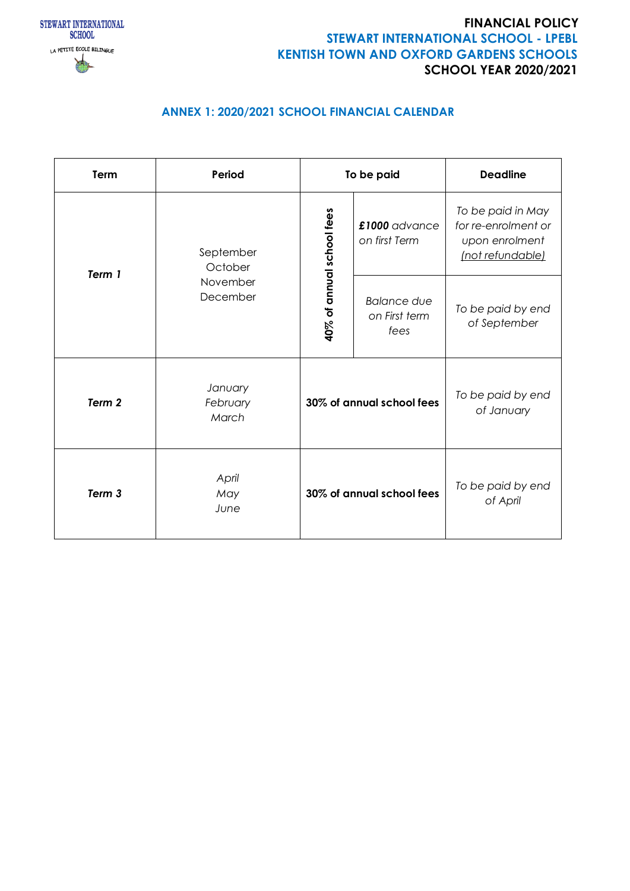

# **ANNEX 1: 2020/2021 SCHOOL FINANCIAL CALENDAR**

| Term                                                   | Period                       | To be paid                                  |                                   | <b>Deadline</b>                                                                |
|--------------------------------------------------------|------------------------------|---------------------------------------------|-----------------------------------|--------------------------------------------------------------------------------|
| September<br>October<br>Term 1<br>November<br>December |                              | 40% of annual school fees                   | £1000 advance<br>on first Term    | To be paid in May<br>for re-enrolment or<br>upon enrolment<br>(not refundable) |
|                                                        |                              | <b>Balance due</b><br>on First term<br>fees | To be paid by end<br>of September |                                                                                |
| Term <sub>2</sub>                                      | January<br>February<br>March | 30% of annual school fees                   |                                   | To be paid by end<br>of January                                                |
| Term <sub>3</sub>                                      | April<br>May<br>June         |                                             | 30% of annual school fees         | To be paid by end<br>of April                                                  |